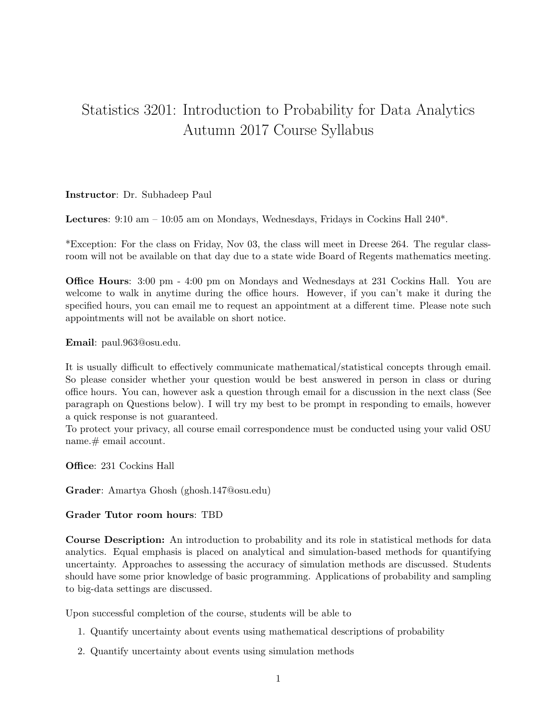## Statistics 3201: Introduction to Probability for Data Analytics Autumn 2017 Course Syllabus

## Instructor: Dr. Subhadeep Paul

Lectures: 9:10 am – 10:05 am on Mondays, Wednesdays, Fridays in Cockins Hall 240\*.

\*Exception: For the class on Friday, Nov 03, the class will meet in Dreese 264. The regular classroom will not be available on that day due to a state wide Board of Regents mathematics meeting.

Office Hours: 3:00 pm - 4:00 pm on Mondays and Wednesdays at 231 Cockins Hall. You are welcome to walk in anytime during the office hours. However, if you can't make it during the specified hours, you can email me to request an appointment at a different time. Please note such appointments will not be available on short notice.

Email: paul.963@osu.edu.

It is usually difficult to effectively communicate mathematical/statistical concepts through email. So please consider whether your question would be best answered in person in class or during office hours. You can, however ask a question through email for a discussion in the next class (See paragraph on Questions below). I will try my best to be prompt in responding to emails, however a quick response is not guaranteed.

To protect your privacy, all course email correspondence must be conducted using your valid OSU name. # email account.

Office: 231 Cockins Hall

Grader: Amartya Ghosh (ghosh.147@osu.edu)

## Grader Tutor room hours: TBD

Course Description: An introduction to probability and its role in statistical methods for data analytics. Equal emphasis is placed on analytical and simulation-based methods for quantifying uncertainty. Approaches to assessing the accuracy of simulation methods are discussed. Students should have some prior knowledge of basic programming. Applications of probability and sampling to big-data settings are discussed.

Upon successful completion of the course, students will be able to

- 1. Quantify uncertainty about events using mathematical descriptions of probability
- 2. Quantify uncertainty about events using simulation methods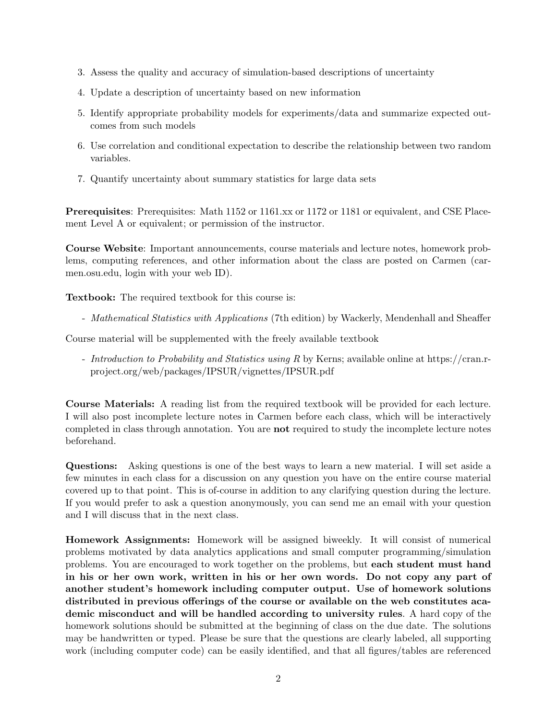- 3. Assess the quality and accuracy of simulation-based descriptions of uncertainty
- 4. Update a description of uncertainty based on new information
- 5. Identify appropriate probability models for experiments/data and summarize expected outcomes from such models
- 6. Use correlation and conditional expectation to describe the relationship between two random variables.
- 7. Quantify uncertainty about summary statistics for large data sets

Prerequisites: Prerequisites: Math 1152 or 1161.xx or 1172 or 1181 or equivalent, and CSE Placement Level A or equivalent; or permission of the instructor.

Course Website: Important announcements, course materials and lecture notes, homework problems, computing references, and other information about the class are posted on Carmen (carmen.osu.edu, login with your web ID).

Textbook: The required textbook for this course is:

- Mathematical Statistics with Applications (7th edition) by Wackerly, Mendenhall and Sheaffer

Course material will be supplemented with the freely available textbook

- Introduction to Probability and Statistics using R by Kerns; available online at https://cran.rproject.org/web/packages/IPSUR/vignettes/IPSUR.pdf

Course Materials: A reading list from the required textbook will be provided for each lecture. I will also post incomplete lecture notes in Carmen before each class, which will be interactively completed in class through annotation. You are not required to study the incomplete lecture notes beforehand.

Questions: Asking questions is one of the best ways to learn a new material. I will set aside a few minutes in each class for a discussion on any question you have on the entire course material covered up to that point. This is of-course in addition to any clarifying question during the lecture. If you would prefer to ask a question anonymously, you can send me an email with your question and I will discuss that in the next class.

Homework Assignments: Homework will be assigned biweekly. It will consist of numerical problems motivated by data analytics applications and small computer programming/simulation problems. You are encouraged to work together on the problems, but each student must hand in his or her own work, written in his or her own words. Do not copy any part of another student's homework including computer output. Use of homework solutions distributed in previous offerings of the course or available on the web constitutes academic misconduct and will be handled according to university rules. A hard copy of the homework solutions should be submitted at the beginning of class on the due date. The solutions may be handwritten or typed. Please be sure that the questions are clearly labeled, all supporting work (including computer code) can be easily identified, and that all figures/tables are referenced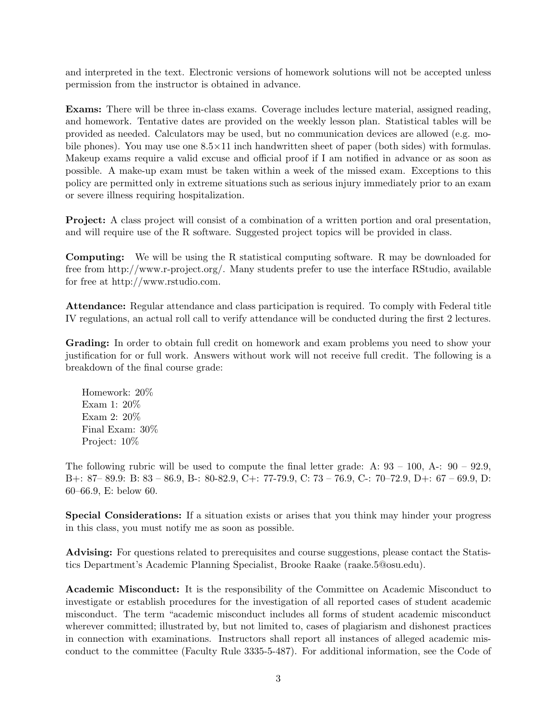and interpreted in the text. Electronic versions of homework solutions will not be accepted unless permission from the instructor is obtained in advance.

Exams: There will be three in-class exams. Coverage includes lecture material, assigned reading, and homework. Tentative dates are provided on the weekly lesson plan. Statistical tables will be provided as needed. Calculators may be used, but no communication devices are allowed (e.g. mobile phones). You may use one  $8.5 \times 11$  inch handwritten sheet of paper (both sides) with formulas. Makeup exams require a valid excuse and official proof if I am notified in advance or as soon as possible. A make-up exam must be taken within a week of the missed exam. Exceptions to this policy are permitted only in extreme situations such as serious injury immediately prior to an exam or severe illness requiring hospitalization.

Project: A class project will consist of a combination of a written portion and oral presentation, and will require use of the R software. Suggested project topics will be provided in class.

Computing: We will be using the R statistical computing software. R may be downloaded for free from http://www.r-project.org/. Many students prefer to use the interface RStudio, available for free at http://www.rstudio.com.

Attendance: Regular attendance and class participation is required. To comply with Federal title IV regulations, an actual roll call to verify attendance will be conducted during the first 2 lectures.

Grading: In order to obtain full credit on homework and exam problems you need to show your justification for or full work. Answers without work will not receive full credit. The following is a breakdown of the final course grade:

Homework: 20% Exam 1: 20% Exam 2: 20% Final Exam: 30% Project: 10%

The following rubric will be used to compute the final letter grade: A:  $93 - 100$ , A:  $90 - 92.9$ , B+: 87– 89.9: B: 83 – 86.9, B-: 80-82.9, C+: 77-79.9, C: 73 – 76.9, C-: 70–72.9, D+: 67 – 69.9, D: 60–66.9, E: below 60.

Special Considerations: If a situation exists or arises that you think may hinder your progress in this class, you must notify me as soon as possible.

Advising: For questions related to prerequisites and course suggestions, please contact the Statistics Department's Academic Planning Specialist, Brooke Raake (raake.5@osu.edu).

Academic Misconduct: It is the responsibility of the Committee on Academic Misconduct to investigate or establish procedures for the investigation of all reported cases of student academic misconduct. The term "academic misconduct includes all forms of student academic misconduct wherever committed; illustrated by, but not limited to, cases of plagiarism and dishonest practices in connection with examinations. Instructors shall report all instances of alleged academic misconduct to the committee (Faculty Rule 3335-5-487). For additional information, see the Code of